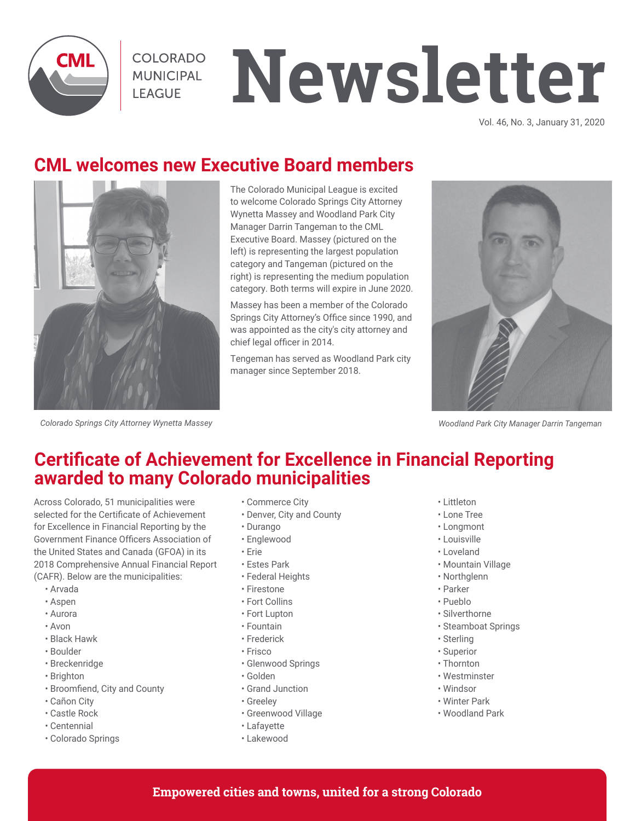

COLORADO **MUNICIPAL LEAGUE** 

# **Newsletter**

Vol. 46, No. 3, January 31, 2020

# **CML welcomes new Executive Board members**



The Colorado Municipal League is excited to welcome Colorado Springs City Attorney Wynetta Massey and Woodland Park City Manager Darrin Tangeman to the CML Executive Board. Massey (pictured on the left) is representing the largest population category and Tangeman (pictured on the right) is representing the medium population category. Both terms will expire in June 2020.

Massey has been a member of the Colorado Springs City Attorney's Office since 1990, and was appointed as the city's city attorney and chief legal officer in 2014.

Tengeman has served as Woodland Park city manager since September 2018.



*Woodland Park City Manager Darrin Tangeman*

#### *Colorado Springs City Attorney Wynetta Massey*

## **Certificate of Achievement for Excellence in Financial Reporting awarded to many Colorado municipalities**

Across Colorado, 51 municipalities were selected for the Certificate of Achievement for Excellence in Financial Reporting by the Government Finance Officers Association of the United States and Canada (GFOA) in its 2018 Comprehensive Annual Financial Report (CAFR). Below are the municipalities:

- Arvada
- Aspen
- Aurora
- Avon
- Black Hawk
- Boulder
- Breckenridge
- Brighton
- Broomfiend, City and County
- Cañon City
- Castle Rock
- Centennial
- Colorado Springs
- Commerce City
- Denver, City and County
- Durango
- Englewood
- Erie
- Estes Park
- Federal Heights
- Firestone
- Fort Collins
- Fort Lupton
- Fountain
- Frederick
- Frisco
- Glenwood Springs
- Golden
- Grand Junction
- Greeley
- Greenwood Village
- Lafayette
- Lakewood
- Littleton
- Lone Tree
- Longmont
- Louisville
- Loveland
- Mountain Village
- Northglenn
- Parker
- Pueblo
- Silverthorne
- Steamboat Springs
- Sterling
- Superior
- Thornton
- Westminster
- Windsor
- Winter Park
- Woodland Park
- **Empowered cities and towns, united for a strong Colorado**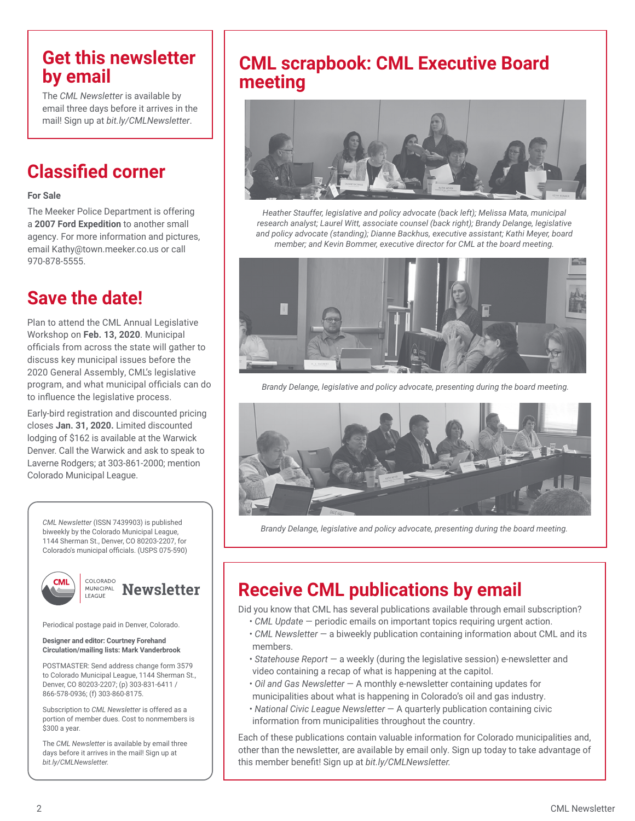## **Get this newsletter by email**

The *CML Newsletter* is available by email three days before it arrives in the mail! Sign up at *bit.ly/CMLNewsletter*.

# **Classified corner**

#### **For Sale**

The Meeker Police Department is offering a **2007 Ford Expedition** to another small agency. For more information and pictures, email Kathy@town.meeker.co.us or call 970-878-5555.

## **Save the date!**

Plan to attend the CML Annual Legislative Workshop on **Feb. 13, 2020**. Municipal officials from across the state will gather to discuss key municipal issues before the 2020 General Assembly, CML's legislative program, and what municipal officials can do to influence the legislative process.

Early-bird registration and discounted pricing closes **Jan. 31, 2020.** Limited discounted lodging of \$162 is available at the Warwick Denver. Call the Warwick and ask to speak to Laverne Rodgers; at 303-861-2000; mention Colorado Municipal League.



Periodical postage paid in Denver, Colorado.

LEAGUE

#### **Designer and editor: Courtney Forehand Circulation/mailing lists: Mark Vanderbrook**

POSTMASTER: Send address change form 3579 to Colorado Municipal League, 1144 Sherman St., Denver, CO 80203-2207; (p) 303-831-6411 / 866-578-0936; (f) 303-860-8175.

Subscription to *CML Newsletter* is offered as a portion of member dues. Cost to nonmembers is \$300 a year.

The *CML Newsletter* is available by email three days before it arrives in the mail! Sign up at *bit.ly/CMLNewsletter.*

## **CML scrapbook: CML Executive Board meeting**



*Heather Stauffer, legislative and policy advocate (back left); Melissa Mata, municipal research analyst; Laurel Witt, associate counsel (back right); Brandy Delange, legislative and policy advocate (standing); Dianne Backhus, executive assistant; Kathi Meyer, board member; and Kevin Bommer, executive director for CML at the board meeting.* 



*Brandy Delange, legislative and policy advocate, presenting during the board meeting.*



*Brandy Delange, legislative and policy advocate, presenting during the board meeting.*

# **Newsletter** | **Receive CML publications by email**

Did you know that CML has several publications available through email subscription?

- *CML Update* periodic emails on important topics requiring urgent action.
- *CML Newsletter* a biweekly publication containing information about CML and its members.
- *Statehouse Report* a weekly (during the legislative session) e-newsletter and video containing a recap of what is happening at the capitol.
- *Oil and Gas Newsletter* A monthly e-newsletter containing updates for municipalities about what is happening in Colorado's oil and gas industry.
- *National Civic League Newsletter* A quarterly publication containing civic information from municipalities throughout the country.

Each of these publications contain valuable information for Colorado municipalities and, other than the newsletter, are available by email only. Sign up today to take advantage of this member benefit! Sign up at *bit.ly/CMLNewsletter.*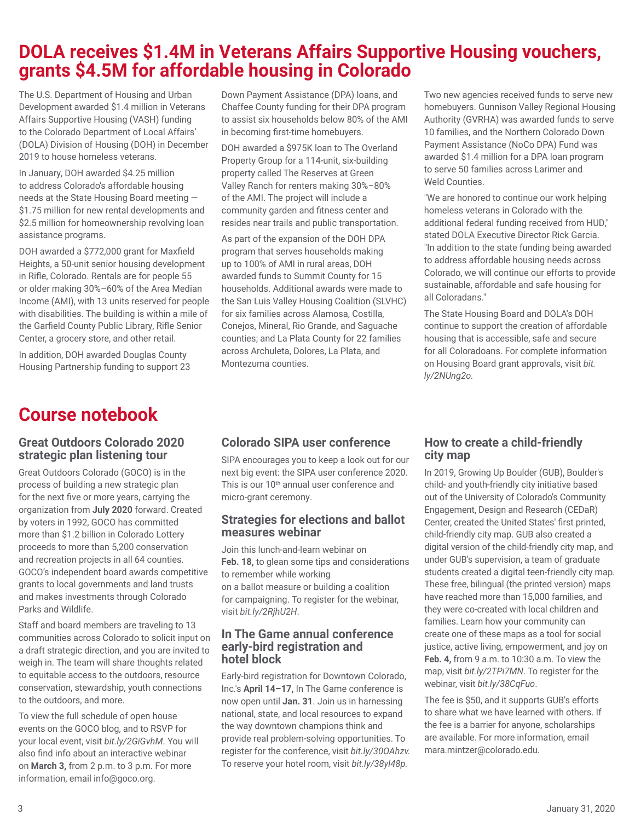## **DOLA receives \$1.4M in Veterans Affairs Supportive Housing vouchers, grants \$4.5M for affordable housing in Colorado**

The U.S. Department of Housing and Urban Development awarded \$1.4 million in Veterans Affairs Supportive Housing (VASH) funding to the Colorado Department of Local Affairs' (DOLA) Division of Housing (DOH) in December 2019 to house homeless veterans.

In January, DOH awarded \$4.25 million to address Colorado's affordable housing needs at the State Housing Board meeting — \$1.75 million for new rental developments and \$2.5 million for homeownership revolving loan assistance programs.

DOH awarded a \$772,000 grant for Maxfield Heights, a 50-unit senior housing development in Rifle, Colorado. Rentals are for people 55 or older making 30%–60% of the Area Median Income (AMI), with 13 units reserved for people with disabilities. The building is within a mile of the Garfield County Public Library, Rifle Senior Center, a grocery store, and other retail.

In addition, DOH awarded Douglas County Housing Partnership funding to support 23

# **Course notebook**

### **Great Outdoors Colorado 2020 strategic plan listening tour**

Great Outdoors Colorado (GOCO) is in the process of building a new strategic plan for the next five or more years, carrying the organization from **July 2020** forward. Created by voters in 1992, GOCO has committed more than \$1.2 billion in Colorado Lottery proceeds to more than 5,200 conservation and recreation projects in all 64 counties. GOCO's independent board awards competitive grants to local governments and land trusts and makes investments through Colorado Parks and Wildlife.

Staff and board members are traveling to 13 communities across Colorado to solicit input on a draft strategic direction, and you are invited to weigh in. The team will share thoughts related to equitable access to the outdoors, resource conservation, stewardship, youth connections to the outdoors, and more.

To view the full schedule of open house events on the GOCO blog, and to RSVP for your local event, visit *bit.ly/2GiGvhM*. You will also find info about an interactive webinar on **March 3,** from 2 p.m. to 3 p.m. For more information, email info@goco.org.

Down Payment Assistance (DPA) loans, and Chaffee County funding for their DPA program to assist six households below 80% of the AMI in becoming first-time homebuyers.

DOH awarded a \$975K loan to The Overland Property Group for a 114-unit, six-building property called The Reserves at Green Valley Ranch for renters making 30%–80% of the AMI. The project will include a community garden and fitness center and resides near trails and public transportation.

As part of the expansion of the DOH DPA program that serves households making up to 100% of AMI in rural areas, DOH awarded funds to Summit County for 15 households. Additional awards were made to the San Luis Valley Housing Coalition (SLVHC) for six families across Alamosa, Costilla, Conejos, Mineral, Rio Grande, and Saguache counties; and La Plata County for 22 families across Archuleta, Dolores, La Plata, and Montezuma counties.

Two new agencies received funds to serve new homebuyers. Gunnison Valley Regional Housing Authority (GVRHA) was awarded funds to serve 10 families, and the Northern Colorado Down Payment Assistance (NoCo DPA) Fund was awarded \$1.4 million for a DPA loan program to serve 50 families across Larimer and Weld Counties.

"We are honored to continue our work helping homeless veterans in Colorado with the additional federal funding received from HUD," stated DOLA Executive Director Rick Garcia. "In addition to the state funding being awarded to address affordable housing needs across Colorado, we will continue our efforts to provide sustainable, affordable and safe housing for all Coloradans."

The State Housing Board and DOLA's DOH continue to support the creation of affordable housing that is accessible, safe and secure for all Coloradoans. For complete information on Housing Board grant approvals, visit *bit. ly/2NUng2o.*

## **Colorado SIPA user conference**

SIPA encourages you to keep a look out for our next big event: the SIPA user conference 2020. This is our 10<sup>th</sup> annual user conference and micro-grant ceremony.

### **Strategies for elections and ballot measures webinar**

Join this lunch-and-learn webinar on **Feb. 18,** to glean some tips and considerations to remember while working on a ballot measure or building a coalition for campaigning. To register for the webinar, visit *bit.ly/2RjhU2H*.

#### **In The Game annual conference early-bird registration and hotel block**

Early-bird registration for Downtown Colorado, Inc.'s **April 14–17,** In The Game conference is now open until **Jan. 31**. Join us in harnessing national, state, and local resources to expand the way downtown champions think and provide real problem-solving opportunities. To register for the conference, visit *bit.ly/30OAhzv.*  To reserve your hotel room, visit *bit.ly/38yl48p.*

## **How to create a child-friendly city map**

In 2019, Growing Up Boulder (GUB), Boulder's child- and youth-friendly city initiative based out of the University of Colorado's Community Engagement, Design and Research (CEDaR) Center, created the United States' first printed, child-friendly city map. GUB also created a digital version of the child-friendly city map, and under GUB's supervision, a team of graduate students created a digital teen-friendly city map. These free, bilingual (the printed version) maps have reached more than 15,000 families, and they were co-created with local children and families. Learn how your community can create one of these maps as a tool for social justice, active living, empowerment, and joy on **Feb. 4,** from 9 a.m. to 10:30 a.m. To view the map, visit *bit.ly/2TPi7MN*. To register for the webinar, visit *bit.ly/38CqFuo*.

The fee is \$50, and it supports GUB's efforts to share what we have learned with others. If the fee is a barrier for anyone, scholarships are available. For more information, email mara.mintzer@colorado.edu.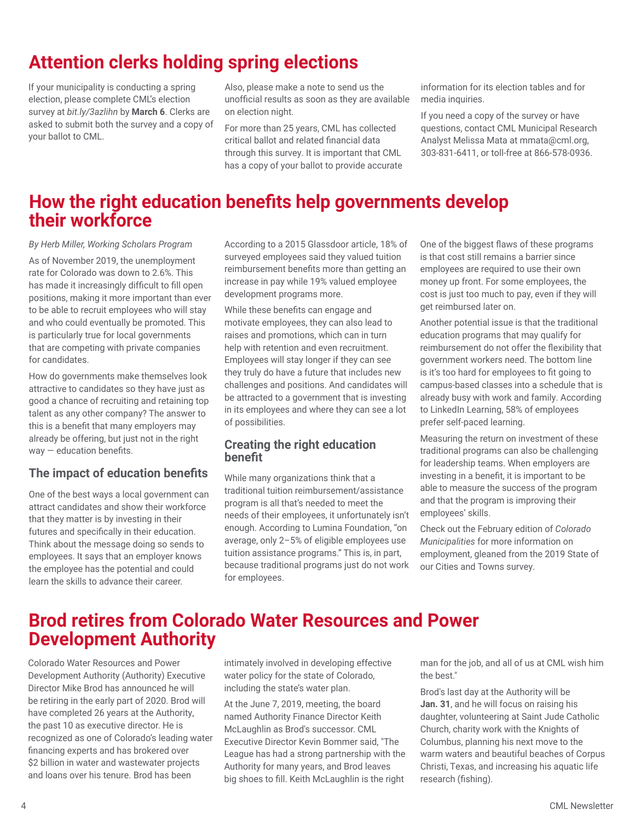# **Attention clerks holding spring elections**

If your municipality is conducting a spring election, please complete CML's election survey at *bit.ly/3azlihn* by **March 6**. Clerks are asked to submit both the survey and a copy of your ballot to CML.

Also, please make a note to send us the unofficial results as soon as they are available on election night.

For more than 25 years, CML has collected critical ballot and related financial data through this survey. It is important that CML has a copy of your ballot to provide accurate information for its election tables and for media inquiries.

If you need a copy of the survey or have questions, contact CML Municipal Research Analyst Melissa Mata at mmata@cml.org, 303-831-6411, or toll-free at 866-578-0936.

## **How the right education benefits help governments develop their workforce**

*By Herb Miller, Working Scholars Program* As of November 2019, the unemployment rate for Colorado was down to 2.6%. This has made it increasingly difficult to fill open positions, making it more important than ever to be able to recruit employees who will stay and who could eventually be promoted. This is particularly true for local governments that are competing with private companies for candidates.

How do governments make themselves look attractive to candidates so they have just as good a chance of recruiting and retaining top talent as any other company? The answer to this is a benefit that many employers may already be offering, but just not in the right way — education benefits.

## **The impact of education benefits**

One of the best ways a local government can attract candidates and show their workforce that they matter is by investing in their futures and specifically in their education. Think about the message doing so sends to employees. It says that an employer knows the employee has the potential and could learn the skills to advance their career.

According to a 2015 Glassdoor article, 18% of surveyed employees said they valued tuition reimbursement benefits more than getting an increase in pay while 19% valued employee development programs more.

While these benefits can engage and motivate employees, they can also lead to raises and promotions, which can in turn help with retention and even recruitment. Employees will stay longer if they can see they truly do have a future that includes new challenges and positions. And candidates will be attracted to a government that is investing in its employees and where they can see a lot of possibilities.

## **Creating the right education benefit**

While many organizations think that a traditional tuition reimbursement/assistance program is all that's needed to meet the needs of their employees, it unfortunately isn't enough. According to Lumina Foundation, "on average, only 2–5% of eligible employees use tuition assistance programs." This is, in part, because traditional programs just do not work for employees.

One of the biggest flaws of these programs is that cost still remains a barrier since employees are required to use their own money up front. For some employees, the cost is just too much to pay, even if they will get reimbursed later on.

Another potential issue is that the traditional education programs that may qualify for reimbursement do not offer the flexibility that government workers need. The bottom line is it's too hard for employees to fit going to campus-based classes into a schedule that is already busy with work and family. According to LinkedIn Learning, 58% of employees prefer self-paced learning.

Measuring the return on investment of these traditional programs can also be challenging for leadership teams. When employers are investing in a benefit, it is important to be able to measure the success of the program and that the program is improving their employees' skills.

Check out the February edition of *Colorado Municipalities* for more information on employment, gleaned from the 2019 State of our Cities and Towns survey.

## **Brod retires from Colorado Water Resources and Power Development Authority**

Colorado Water Resources and Power Development Authority (Authority) Executive Director Mike Brod has announced he will be retiring in the early part of 2020. Brod will have completed 26 years at the Authority, the past 10 as executive director. He is recognized as one of Colorado's leading water financing experts and has brokered over \$2 billion in water and wastewater projects and loans over his tenure. Brod has been

intimately involved in developing effective water policy for the state of Colorado, including the state's water plan.

At the June 7, 2019, meeting, the board named Authority Finance Director Keith McLaughlin as Brod's successor. CML Executive Director Kevin Bommer said, "The League has had a strong partnership with the Authority for many years, and Brod leaves big shoes to fill. Keith McLaughlin is the right

man for the job, and all of us at CML wish him the best."

Brod's last day at the Authority will be **Jan. 31**, and he will focus on raising his daughter, volunteering at Saint Jude Catholic Church, charity work with the Knights of Columbus, planning his next move to the warm waters and beautiful beaches of Corpus Christi, Texas, and increasing his aquatic life research (fishing).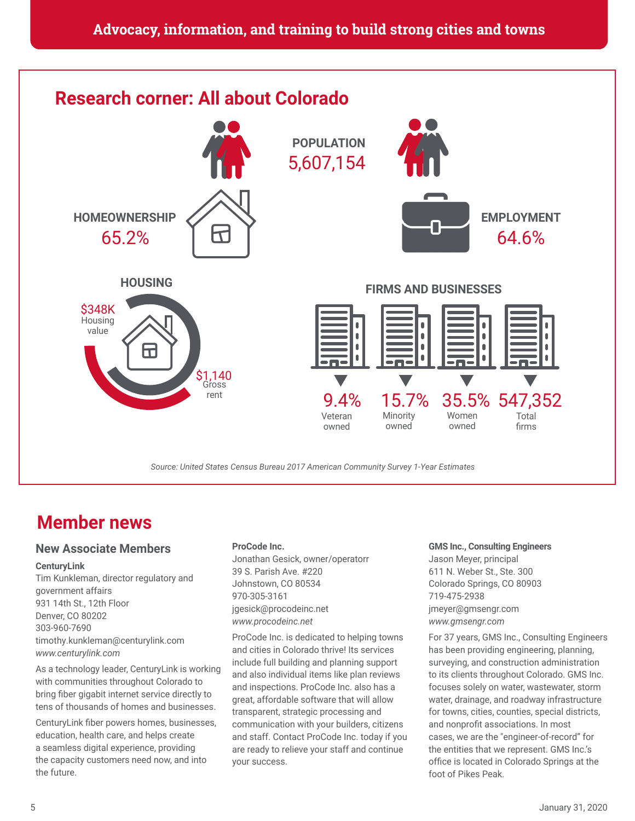

## **Member news**

### **New Associate Members**

#### **CenturyLink**

Tim Kunkleman, director regulatory and government affairs 931 14th St., 12th Floor Denver, CO 80202 303-960-7690 timothy.kunkleman@centurylink.com *www.centurylink.com*

As a technology leader, CenturyLink is working with communities throughout Colorado to bring fiber gigabit internet service directly to tens of thousands of homes and businesses.

CenturyLink fiber powers homes, businesses, education, health care, and helps create a seamless digital experience, providing the capacity customers need now, and into the future.

#### **ProCode Inc.**

Jonathan Gesick, owner/operatorr 39 S. Parish Ave. #220 Johnstown, CO 80534 970-305-3161 jgesick@procodeinc.net *www.procodeinc.net*

ProCode Inc. is dedicated to helping towns and cities in Colorado thrive! Its services include full building and planning support and also individual items like plan reviews and inspections. ProCode Inc. also has a great, affordable software that will allow transparent, strategic processing and communication with your builders, citizens and staff. Contact ProCode Inc. today if you are ready to relieve your staff and continue your success.

#### **GMS Inc., Consulting Engineers**

Jason Meyer, principal 611 N. Weber St., Ste. 300 Colorado Springs, CO 80903 719-475-2938 jmeyer@gmsengr.com *www.gmsengr.com*

For 37 years, GMS Inc., Consulting Engineers has been providing engineering, planning, surveying, and construction administration to its clients throughout Colorado. GMS Inc. focuses solely on water, wastewater, storm water, drainage, and roadway infrastructure for towns, cities, counties, special districts, and nonprofit associations. In most cases, we are the "engineer-of-record" for the entities that we represent. GMS Inc.'s office is located in Colorado Springs at the foot of Pikes Peak.